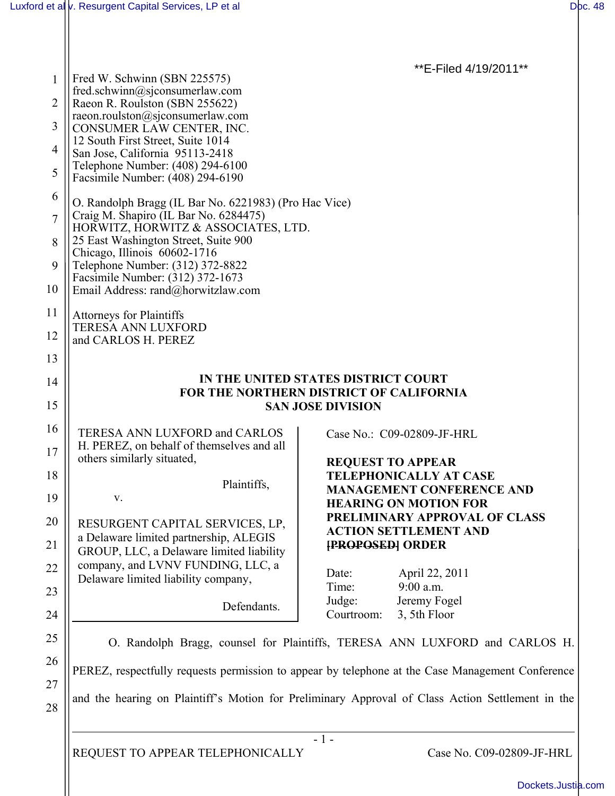\*\*E-Filed 4/19/2011\*\*

| 1  | Fred W. Schwinn (SBN 225575)                                                                     |                                                                                                  |
|----|--------------------------------------------------------------------------------------------------|--------------------------------------------------------------------------------------------------|
|    | fred.schwinn@sjconsumerlaw.com                                                                   |                                                                                                  |
| 2  | Raeon R. Roulston (SBN 255622)                                                                   |                                                                                                  |
|    | raeon.roulston@sjconsumerlaw.com                                                                 |                                                                                                  |
| 3  | CONSUMER LAW CENTER, INC.                                                                        |                                                                                                  |
| 4  | 12 South First Street, Suite 1014                                                                |                                                                                                  |
|    | San Jose, California 95113-2418<br>Telephone Number: (408) 294-6100                              |                                                                                                  |
| 5  | Facsimile Number: (408) 294-6190                                                                 |                                                                                                  |
| 6  |                                                                                                  |                                                                                                  |
|    | O. Randolph Bragg (IL Bar No. 6221983) (Pro Hac Vice)                                            |                                                                                                  |
| 7  | Craig M. Shapiro (IL Bar No. 6284475)<br>HORWITZ, HORWITZ & ASSOCIATES, LTD.                     |                                                                                                  |
| 8  | 25 East Washington Street, Suite 900                                                             |                                                                                                  |
|    | Chicago, Illinois 60602-1716                                                                     |                                                                                                  |
| 9  | Telephone Number: (312) 372-8822                                                                 |                                                                                                  |
|    | Facsimile Number: (312) 372-1673                                                                 |                                                                                                  |
| 10 | Email Address: rand@horwitzlaw.com                                                               |                                                                                                  |
| 11 | <b>Attorneys for Plaintiffs</b>                                                                  |                                                                                                  |
|    | <b>TERESA ANN LUXFORD</b>                                                                        |                                                                                                  |
| 12 | and CARLOS H. PEREZ                                                                              |                                                                                                  |
| 13 |                                                                                                  |                                                                                                  |
|    |                                                                                                  |                                                                                                  |
| 14 | IN THE UNITED STATES DISTRICT COURT<br><b>FOR THE NORTHERN DISTRICT OF CALIFORNIA</b>            |                                                                                                  |
| 15 | <b>SAN JOSE DIVISION</b>                                                                         |                                                                                                  |
|    |                                                                                                  |                                                                                                  |
| 16 | TERESA ANN LUXFORD and CARLOS                                                                    | Case No.: C09-02809-JF-HRL                                                                       |
| 17 | H. PEREZ, on behalf of themselves and all                                                        |                                                                                                  |
|    | others similarly situated,                                                                       | <b>REQUEST TO APPEAR</b>                                                                         |
| 18 |                                                                                                  | <b>TELEPHONICALLY AT CASE</b>                                                                    |
|    | Plaintiffs,                                                                                      | <b>MANAGEMENT CONFERENCE AND</b>                                                                 |
| 19 | V.                                                                                               | <b>HEARING ON MOTION FOR</b>                                                                     |
| 20 | RESURGENT CAPITAL SERVICES, LP,                                                                  | PRELIMINARY APPROVAL OF CLASS                                                                    |
|    | a Delaware limited partnership, ALEGIS                                                           | <b>ACTION SETTLEMENT AND</b>                                                                     |
| 21 | GROUP, LLC, a Delaware limited liability                                                         | <b>[PROPOSED] ORDER</b>                                                                          |
| 22 | company, and LVNV FUNDING, LLC, a                                                                |                                                                                                  |
|    | Delaware limited liability company,                                                              | April 22, 2011<br>Date:                                                                          |
| 23 |                                                                                                  | Time:<br>$9:00$ a.m.                                                                             |
|    | Defendants.                                                                                      | Jeremy Fogel<br>Judge:                                                                           |
| 24 |                                                                                                  | Courtroom:<br>3, 5th Floor                                                                       |
| 25 |                                                                                                  | O. Randolph Bragg, counsel for Plaintiffs, TERESA ANN LUXFORD and CARLOS H.                      |
| 26 |                                                                                                  |                                                                                                  |
|    | PEREZ, respectfully requests permission to appear by telephone at the Case Management Conference |                                                                                                  |
| 27 |                                                                                                  |                                                                                                  |
| 28 |                                                                                                  | and the hearing on Plaintiff's Motion for Preliminary Approval of Class Action Settlement in the |
|    |                                                                                                  |                                                                                                  |
|    |                                                                                                  | $-1-$                                                                                            |
|    | REQUEST TO APPEAR TELEPHONICALLY                                                                 | Case No. C09-02809-JF-HRL                                                                        |
|    |                                                                                                  |                                                                                                  |